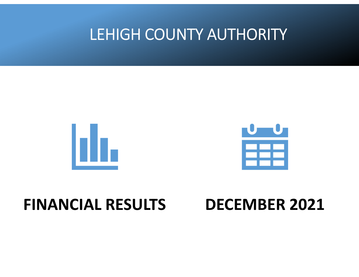## LEHIGH COUNTY AUTHORITY





## **FINANCIAL RESULTS**

## **DECEMBER 2021**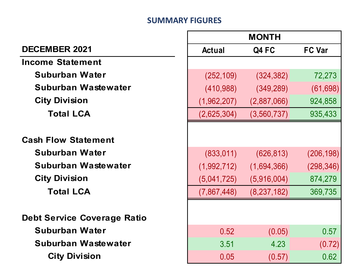#### **SUMMARY FIGURES**

| <b>MONTH</b>                       |               |               |               |  |
|------------------------------------|---------------|---------------|---------------|--|
| <b>DECEMBER 2021</b>               | <b>Actual</b> | Q4 FC         | <b>FC Var</b> |  |
| <b>Income Statement</b>            |               |               |               |  |
| <b>Suburban Water</b>              | (252, 109)    | (324, 382)    | 72,273        |  |
| Suburban Wastewater                | (410,988)     | (349, 289)    | (61, 698)     |  |
| <b>City Division</b>               | (1,962,207)   | (2,887,066)   | 924,858       |  |
| <b>Total LCA</b>                   | (2,625,304)   | (3,560,737)   | 935,433       |  |
|                                    |               |               |               |  |
| <b>Cash Flow Statement</b>         |               |               |               |  |
| <b>Suburban Water</b>              | (833, 011)    | (626, 813)    | (206, 198)    |  |
| Suburban Wastewater                | (1,992,712)   | (1,694,366)   | (298, 346)    |  |
| <b>City Division</b>               | (5,041,725)   | (5,916,004)   | 874,279       |  |
| <b>Total LCA</b>                   | (7,867,448)   | (8, 237, 182) | 369,735       |  |
|                                    |               |               |               |  |
| <b>Debt Service Coverage Ratio</b> |               |               |               |  |
| <b>Suburban Water</b>              | 0.52          | (0.05)        | 0.57          |  |
| Suburban Wastewater                | 3.51          | 4.23          | (0.72)        |  |
| <b>City Division</b>               | 0.05          | (0.57)        | 0.62          |  |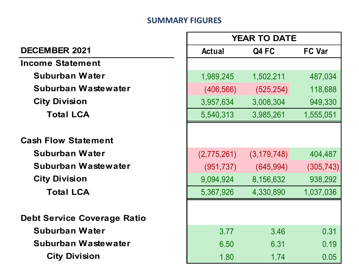#### **SUMMARY FIGURES**

Г

|                                    | <b>YEAR TO DATE</b> |               |               |
|------------------------------------|---------------------|---------------|---------------|
| <b>DECEMBER 2021</b>               | <b>Actual</b>       | Q4 FC         | <b>FC Var</b> |
| <b>Income Statement</b>            |                     |               |               |
| <b>Suburban Water</b>              | 1,989,245           | 1,502,211     | 487,034       |
| Suburban Wastewater                | (406, 566)          | (525, 254)    | 118,688       |
| <b>City Division</b>               | 3,957,634           | 3,008,304     | 949,330       |
| <b>Total LCA</b>                   | 5,540,313           | 3,985,261     | 1,555,051     |
|                                    |                     |               |               |
| <b>Cash Flow Statement</b>         |                     |               |               |
| <b>Suburban Water</b>              | (2,775,261)         | (3, 179, 748) | 404,487       |
| Suburban Wastewater                | (951, 737)          | (645, 994)    | (305, 743)    |
| <b>City Division</b>               | 9,094,924           | 8,156,632     | 938,292       |
| <b>Total LCA</b>                   | 5,367,926           | 4,330,890     | 1,037,036     |
|                                    |                     |               |               |
| <b>Debt Service Coverage Ratio</b> |                     |               |               |
| <b>Suburban Water</b>              | 3.77                | 3.46          | 0.31          |
| Suburban Wastewater                | 6.50                | 6.31          | 0.19          |
| <b>City Division</b>               | 1.80                | 1.74          | 0.05          |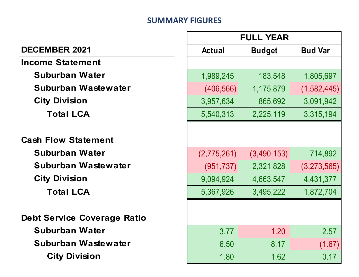#### **SUMMARY FIGURES**

г

|                                    | <b>FULL YEAR</b> |               |                |
|------------------------------------|------------------|---------------|----------------|
| <b>DECEMBER 2021</b>               | <b>Actual</b>    | <b>Budget</b> | <b>Bud Var</b> |
| <b>Income Statement</b>            |                  |               |                |
| <b>Suburban Water</b>              | 1,989,245        | 183,548       | 1,805,697      |
| Suburban Wastewater                | (406, 566)       | 1,175,879     | (1, 582, 445)  |
| <b>City Division</b>               | 3,957,634        | 865,692       | 3,091,942      |
| <b>Total LCA</b>                   | 5,540,313        | 2,225,119     | 3,315,194      |
|                                    |                  |               |                |
| <b>Cash Flow Statement</b>         |                  |               |                |
| <b>Suburban Water</b>              | (2,775,261)      | (3,490,153)   | 714,892        |
| <b>Suburban Wastewater</b>         | (951, 737)       | 2,321,828     | (3,273,565)    |
| <b>City Division</b>               | 9,094,924        | 4,663,547     | 4,431,377      |
| <b>Total LCA</b>                   | 5,367,926        | 3,495,222     | 1,872,704      |
|                                    |                  |               |                |
| <b>Debt Service Coverage Ratio</b> |                  |               |                |
| <b>Suburban Water</b>              | 3.77             | 1.20          | 2.57           |
| Suburban Wastewater                | 6.50             | 8.17          | (1.67)         |
| <b>City Division</b>               | 1.80             | 1.62          | 0.17           |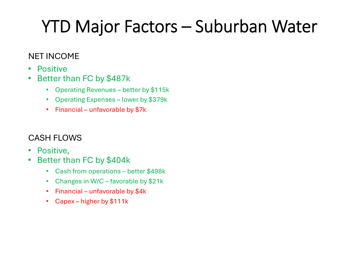# YTD Major Factors – Suburban Water

### NET INCOME

- $\bullet$ Positive
- $\bullet$  Better than FC by \$487k
	- Operating Revenues better by \$115k
	- Operating Expenses lower by \$379k
	- Financial unfavorable by \$7k

## CASH FLOWS

- $\bullet$ Positive,
- • Better than FC by \$404k
	- Cash from operations better \$498k
	- Changes in W/C favorable by \$21k
	- Financial unfavorable by \$4k
	- Capex higher by \$111k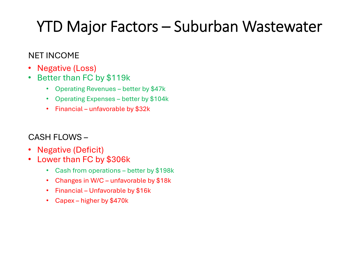## YTD Major Factors – Suburban Wastewater

### NET INCOME

- •Negative (Loss)
- $\bullet$  Better than FC by \$119k
	- Operating Revenues better by \$47k
	- Operating Expenses better by \$104k
	- Financial unfavorable by \$32k

### CASH FLOWS –

- Negative (Deficit)
- • Lower than FC by \$306k
	- Cash from operations better by \$198k
	- Changes in W/C unfavorable by \$18k
	- Financial Unfavorable by \$16k
	- Capex higher by \$470k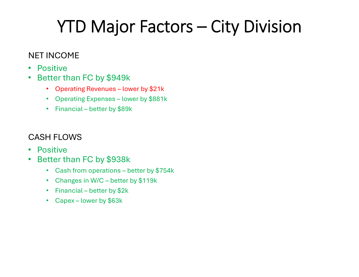# YTD Major Factors – City Division

### NET INCOME

- $\bullet$ Positive
- $\bullet$  Better than FC by \$949k
	- Operating Revenues lower by \$21k
	- Operating Expenses lower by \$881k
	- Financial better by \$89k

### CASH FLOWS

- $\bullet$ Positive
- $\bullet$  Better than FC by \$938k
	- Cash from operations better by \$754k
	- Changes in W/C better by \$119k
	- Financial better by \$2k
	- Capex lower by \$63k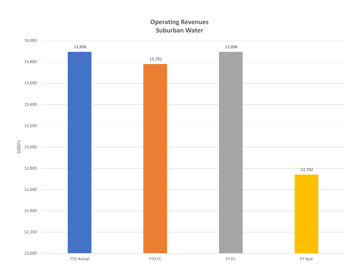#### **Operating Revenues Suburban Water**

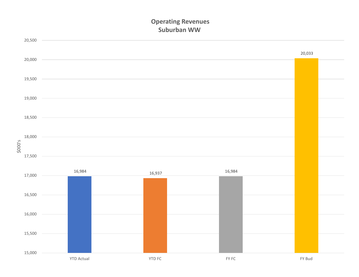#### **Operating Revenues Suburban WW**

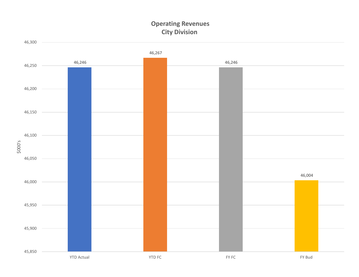#### **Operating Revenues City Division**

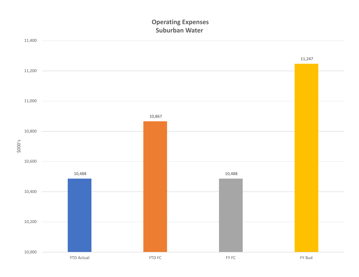#### **Operating Expenses Suburban Water**

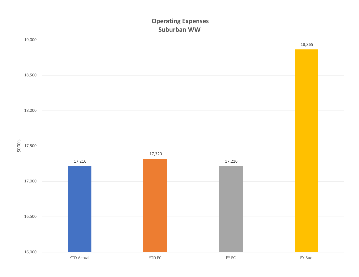#### **Operating Expenses Suburban WW**

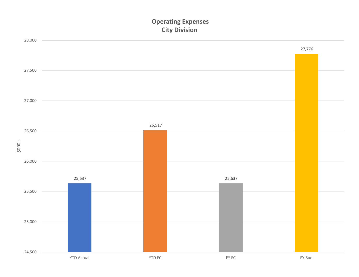#### **Operating Expenses City Division**

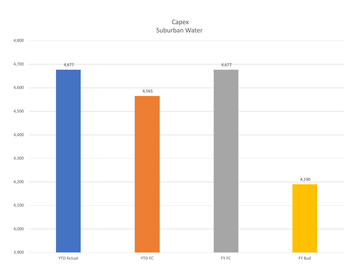



YTD Actual YTD FC FY FC FY Bud

4,800

FY Bud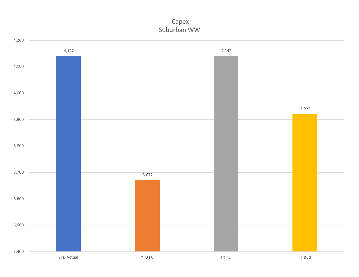#### Capex Suburban WW

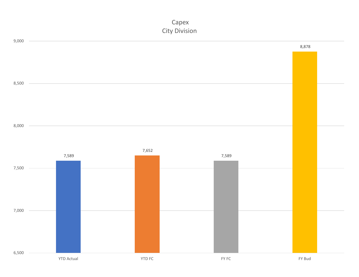#### Capex City Division

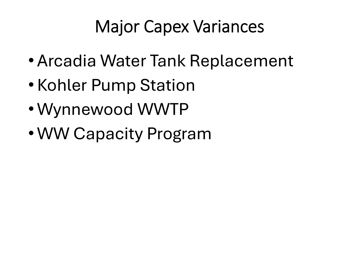# Major Capex Variances

- Arcadia Water Tank Replacement
- Kohler Pump Station
- Wynnewood WWTP
- WW Capacity Program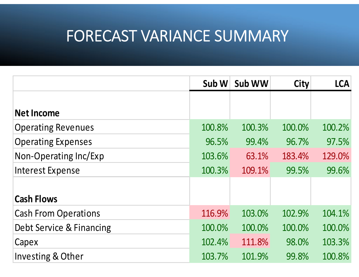## FORECAST VARIANCE SUMMARY

|                             | Sub W  | Sub WW | <b>City</b> | <b>LCA</b> |
|-----------------------------|--------|--------|-------------|------------|
| <b>Net Income</b>           |        |        |             |            |
| <b>Operating Revenues</b>   | 100.8% | 100.3% | 100.0%      | 100.2%     |
| <b>Operating Expenses</b>   | 96.5%  | 99.4%  | 96.7%       | 97.5%      |
| Non-Operating Inc/Exp       | 103.6% | 63.1%  | 183.4%      | 129.0%     |
| <b>Interest Expense</b>     | 100.3% | 109.1% | 99.5%       | 99.6%      |
| <b>Cash Flows</b>           |        |        |             |            |
| <b>Cash From Operations</b> | 116.9% | 103.0% | 102.9%      | 104.1%     |
| Debt Service & Financing    | 100.0% | 100.0% | 100.0%      | 100.0%     |
| Capex                       | 102.4% | 111.8% | 98.0%       | 103.3%     |
| Investing & Other           | 103.7% | 101.9% | 99.8%       | 100.8%     |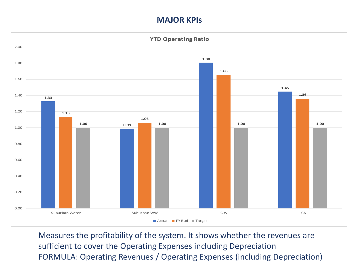#### **MAJOR KPIs**



Measures the profitability of the system. It shows whether the revenues are sufficient to cover the Operating Expenses including Depreciation FORMULA: Operating Revenues / Operating Expenses (including Depreciation)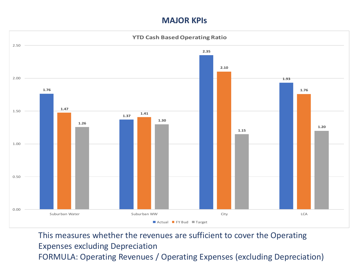#### **MAJOR KPIs**



This measures whether the revenues are sufficient to cover the Operating Expenses excluding Depreciation FORMULA: Operating Revenues / Operating Expenses (excluding Depreciation)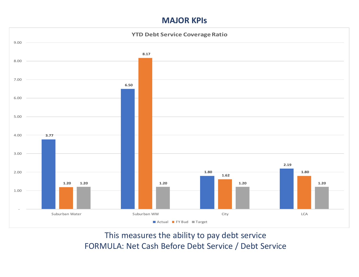#### **MAJOR KPIs**



This measures the ability to pay debt service FORMULA: Net Cash Before Debt Service / Debt Service